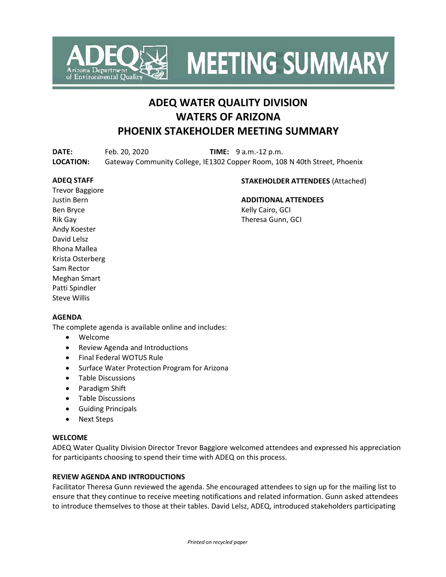

**MEETING SUMMARY** 

# **ADEQ WATER QUALITY DIVISION WATERS OF ARIZONA PHOENIX STAKEHOLDER MEETING SUMMARY**

**DATE:** Feb. 20, 2020 **TIME:** 9 a.m.-12 p.m. **LOCATION:** Gateway Community College, IE1302 Copper Room, 108 N 40th Street, Phoenix

#### **ADEQ STAFF**

#### **STAKEHOLDER ATTENDEES** (Attached)

Trevor Baggiore Justin Bern Ben Bryce Rik Gay Andy Koester David Lelsz Rhona Mallea Krista Osterberg Sam Rector Meghan Smart Patti Spindler Steve Willis

# **ADDITIONAL ATTENDEES**

Kelly Cairo, GCI Theresa Gunn, GCI

#### **AGENDA**

The complete agenda is available online and includes:

- Welcome
- Review Agenda and Introductions
- Final Federal WOTUS Rule
- Surface Water Protection Program for Arizona
- Table Discussions
- Paradigm Shift
- Table Discussions
- Guiding Principals
- Next Steps

#### **WELCOME**

ADEQ Water Quality Division Director Trevor Baggiore welcomed attendees and expressed his appreciation for participants choosing to spend their time with ADEQ on this process.

#### **REVIEW AGENDA AND INTRODUCTIONS**

Facilitator Theresa Gunn reviewed the agenda. She encouraged attendees to sign up for the mailing list to ensure that they continue to receive meeting notifications and related information. Gunn asked attendees to introduce themselves to those at their tables. David Lelsz, ADEQ, introduced stakeholders participating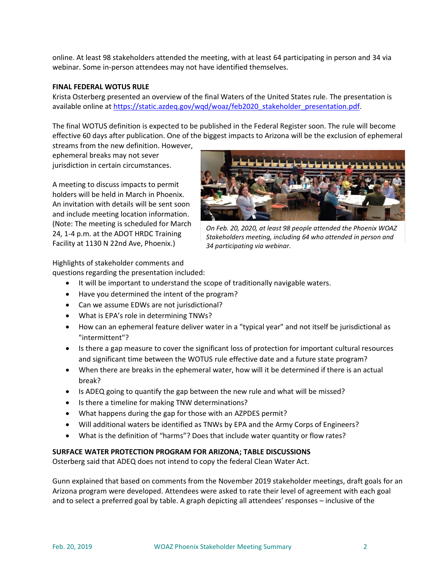online. At least 98 stakeholders attended the meeting, with at least 64 participating in person and 34 via webinar. Some in-person attendees may not have identified themselves.

#### **FINAL FEDERAL WOTUS RULE**

Krista Osterberg presented an overview of the final Waters of the United States rule. The presentation is available online at [https://static.azdeq.gov/wqd/woaz/feb2020\\_stakeholder\\_presentation.pdf.](https://static.azdeq.gov/wqd/woaz/feb2020_stakeholder_presentation.pdf)

The final WOTUS definition is expected to be published in the Federal Register soon. The rule will become effective 60 days after publication. One of the biggest impacts to Arizona will be the exclusion of ephemeral

streams from the new definition. However, ephemeral breaks may not sever jurisdiction in certain circumstances.

A meeting to discuss impacts to permit holders will be held in March in Phoenix. An invitation with details will be sent soon and include meeting location information. (Note: The meeting is scheduled for March 24, 1-4 p.m. at the ADOT HRDC Training Facility at 1130 N 22nd Ave, Phoenix.)



*On Feb. 20, 2020, at least 98 people attended the Phoenix WOAZ Stakeholders meeting, including 64 who attended in person and 34 participating via webinar.*

Highlights of stakeholder comments and

questions regarding the presentation included:

- It will be important to understand the scope of traditionally navigable waters.
- Have you determined the intent of the program?
- Can we assume EDWs are not jurisdictional?
- What is EPA's role in determining TNWs?
- How can an ephemeral feature deliver water in a "typical year" and not itself be jurisdictional as "intermittent"?
- Is there a gap measure to cover the significant loss of protection for important cultural resources and significant time between the WOTUS rule effective date and a future state program?
- When there are breaks in the ephemeral water, how will it be determined if there is an actual break?
- Is ADEQ going to quantify the gap between the new rule and what will be missed?
- Is there a timeline for making TNW determinations?
- What happens during the gap for those with an AZPDES permit?
- Will additional waters be identified as TNWs by EPA and the Army Corps of Engineers?
- What is the definition of "harms"? Does that include water quantity or flow rates?

# **SURFACE WATER PROTECTION PROGRAM FOR ARIZONA; TABLE DISCUSSIONS**

Osterberg said that ADEQ does not intend to copy the federal Clean Water Act.

Gunn explained that based on comments from the November 2019 stakeholder meetings, draft goals for an Arizona program were developed. Attendees were asked to rate their level of agreement with each goal and to select a preferred goal by table. A graph depicting all attendees' responses – inclusive of the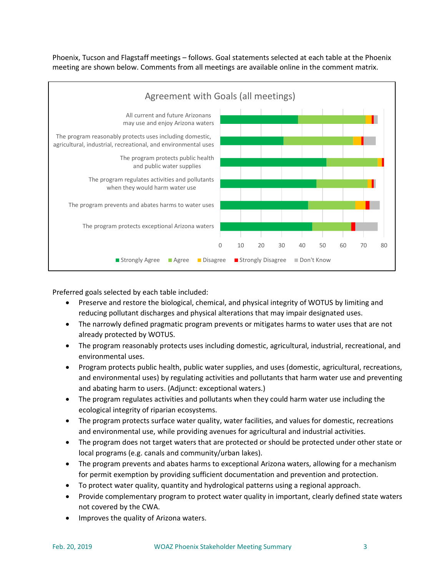Phoenix, Tucson and Flagstaff meetings – follows. Goal statements selected at each table at the Phoenix meeting are shown below. Comments from all meetings are available online in the comment matrix.



Preferred goals selected by each table included:

- Preserve and restore the biological, chemical, and physical integrity of WOTUS by limiting and reducing pollutant discharges and physical alterations that may impair designated uses.
- The narrowly defined pragmatic program prevents or mitigates harms to water uses that are not already protected by WOTUS.
- The program reasonably protects uses including domestic, agricultural, industrial, recreational, and environmental uses.
- Program protects public health, public water supplies, and uses (domestic, agricultural, recreations, and environmental uses) by regulating activities and pollutants that harm water use and preventing and abating harm to users. (Adjunct: exceptional waters.)
- The program regulates activities and pollutants when they could harm water use including the ecological integrity of riparian ecosystems.
- The program protects surface water quality, water facilities, and values for domestic, recreations and environmental use, while providing avenues for agricultural and industrial activities.
- The program does not target waters that are protected or should be protected under other state or local programs (e.g. canals and community/urban lakes).
- The program prevents and abates harms to exceptional Arizona waters, allowing for a mechanism for permit exemption by providing sufficient documentation and prevention and protection.
- To protect water quality, quantity and hydrological patterns using a regional approach.
- Provide complementary program to protect water quality in important, clearly defined state waters not covered by the CWA.
- Improves the quality of Arizona waters.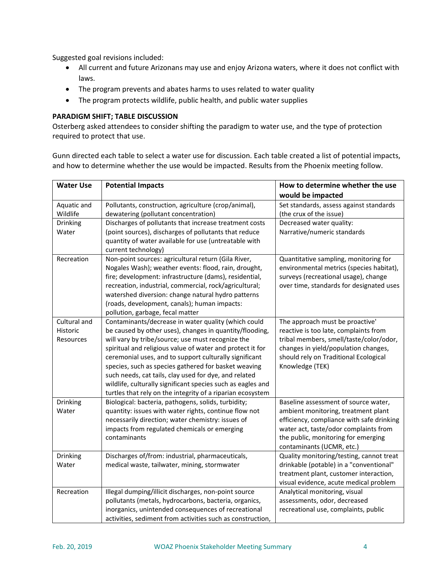Suggested goal revisions included:

- All current and future Arizonans may use and enjoy Arizona waters, where it does not conflict with laws.
- The program prevents and abates harms to uses related to water quality
- The program protects wildlife, public health, and public water supplies

#### **PARADIGM SHIFT; TABLE DISCUSSION**

Osterberg asked attendees to consider shifting the paradigm to water use, and the type of protection required to protect that use.

Gunn directed each table to select a water use for discussion. Each table created a list of potential impacts, and how to determine whether the use would be impacted. Results from the Phoenix meeting follow.

| <b>Water Use</b> | <b>Potential Impacts</b>                                    | How to determine whether the use          |
|------------------|-------------------------------------------------------------|-------------------------------------------|
|                  |                                                             | would be impacted                         |
| Aquatic and      | Pollutants, construction, agriculture (crop/animal),        | Set standards, assess against standards   |
| Wildlife         | dewatering (pollutant concentration)                        | (the crux of the issue)                   |
| Drinking         | Discharges of pollutants that increase treatment costs      | Decreased water quality:                  |
| Water            | (point sources), discharges of pollutants that reduce       | Narrative/numeric standards               |
|                  | quantity of water available for use (untreatable with       |                                           |
|                  | current technology)                                         |                                           |
| Recreation       | Non-point sources: agricultural return (Gila River,         | Quantitative sampling, monitoring for     |
|                  | Nogales Wash); weather events: flood, rain, drought,        | environmental metrics (species habitat),  |
|                  | fire; development: infrastructure (dams), residential,      | surveys (recreational usage), change      |
|                  | recreation, industrial, commercial, rock/agricultural;      | over time, standards for designated uses  |
|                  | watershed diversion: change natural hydro patterns          |                                           |
|                  | (roads, development, canals); human impacts:                |                                           |
|                  | pollution, garbage, fecal matter                            |                                           |
| Cultural and     | Contaminants/decrease in water quality (which could         | The approach must be proactive'           |
| Historic         | be caused by other uses), changes in quantity/flooding,     | reactive is too late, complaints from     |
| Resources        | will vary by tribe/source; use must recognize the           | tribal members, smell/taste/color/odor,   |
|                  | spiritual and religious value of water and protect it for   | changes in yield/population changes,      |
|                  | ceremonial uses, and to support culturally significant      | should rely on Traditional Ecological     |
|                  | species, such as species gathered for basket weaving        | Knowledge (TEK)                           |
|                  | such needs, cat tails, clay used for dye, and related       |                                           |
|                  | wildlife, culturally significant species such as eagles and |                                           |
|                  | turtles that rely on the integrity of a riparian ecosystem  |                                           |
| Drinking         | Biological: bacteria, pathogens, solids, turbidity;         | Baseline assessment of source water,      |
| Water            | quantity: issues with water rights, continue flow not       | ambient monitoring, treatment plant       |
|                  | necessarily direction; water chemistry: issues of           | efficiency, compliance with safe drinking |
|                  | impacts from regulated chemicals or emerging                | water act, taste/odor complaints from     |
|                  | contaminants                                                | the public, monitoring for emerging       |
|                  |                                                             | contaminants (UCMR, etc.)                 |
| Drinking         | Discharges of/from: industrial, pharmaceuticals,            | Quality monitoring/testing, cannot treat  |
| Water            | medical waste, tailwater, mining, stormwater                | drinkable (potable) in a "conventional"   |
|                  |                                                             | treatment plant, customer interaction,    |
|                  |                                                             | visual evidence, acute medical problem    |
| Recreation       | Illegal dumping/illicit discharges, non-point source        | Analytical monitoring, visual             |
|                  | pollutants (metals, hydrocarbons, bacteria, organics,       | assessments, odor, decreased              |
|                  | inorganics, unintended consequences of recreational         | recreational use, complaints, public      |
|                  | activities, sediment from activities such as construction,  |                                           |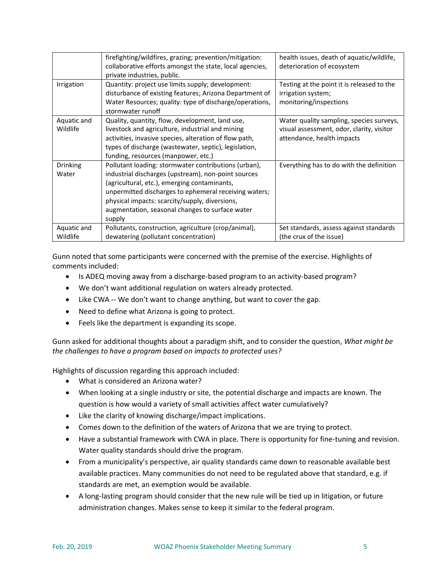|                          | firefighting/wildfires, grazing; prevention/mitigation:<br>collaborative efforts amongst the state, local agencies,<br>private industries, public.                                                                                                                                                                                  | health issues, death of aquatic/wildlife,<br>deterioration of ecosystem                                             |
|--------------------------|-------------------------------------------------------------------------------------------------------------------------------------------------------------------------------------------------------------------------------------------------------------------------------------------------------------------------------------|---------------------------------------------------------------------------------------------------------------------|
| Irrigation               | Quantity: project use limits supply; development:<br>disturbance of existing features; Arizona Department of<br>Water Resources; quality: type of discharge/operations,<br>stormwater runoff                                                                                                                                        | Testing at the point it is released to the<br>irrigation system;<br>monitoring/inspections                          |
| Aquatic and<br>Wildlife  | Quality, quantity, flow, development, land use,<br>livestock and agriculture, industrial and mining<br>activities, invasive species, alteration of flow path,<br>types of discharge (wastewater, septic), legislation,<br>funding, resources (manpower, etc.)                                                                       | Water quality sampling, species surveys,<br>visual assessment, odor, clarity, visitor<br>attendance, health impacts |
| <b>Drinking</b><br>Water | Pollutant loading: stormwater contributions (urban),<br>industrial discharges (upstream), non-point sources<br>(agricultural, etc.), emerging contaminants,<br>unpermitted discharges to ephemeral receiving waters;<br>physical impacts: scarcity/supply, diversions,<br>augmentation, seasonal changes to surface water<br>supply | Everything has to do with the definition                                                                            |
| Aquatic and<br>Wildlife  | Pollutants, construction, agriculture (crop/animal),<br>dewatering (pollutant concentration)                                                                                                                                                                                                                                        | Set standards, assess against standards<br>(the crux of the issue)                                                  |

Gunn noted that some participants were concerned with the premise of the exercise. Highlights of comments included:

- Is ADEQ moving away from a discharge-based program to an activity-based program?
- We don't want additional regulation on waters already protected.
- Like CWA -- We don't want to change anything, but want to cover the gap.
- Need to define what Arizona is going to protect.
- Feels like the department is expanding its scope.

Gunn asked for additional thoughts about a paradigm shift, and to consider the question, *What might be the challenges to have a program based on impacts to protected uses?*

Highlights of discussion regarding this approach included:

- What is considered an Arizona water?
- When looking at a single industry or site, the potential discharge and impacts are known. The question is how would a variety of small activities affect water cumulatively?
- Like the clarity of knowing discharge/impact implications.
- Comes down to the definition of the waters of Arizona that we are trying to protect.
- Have a substantial framework with CWA in place. There is opportunity for fine-tuning and revision. Water quality standards should drive the program.
- From a municipality's perspective, air quality standards came down to reasonable available best available practices. Many communities do not need to be regulated above that standard, e.g. if standards are met, an exemption would be available.
- A long-lasting program should consider that the new rule will be tied up in litigation, or future administration changes. Makes sense to keep it similar to the federal program.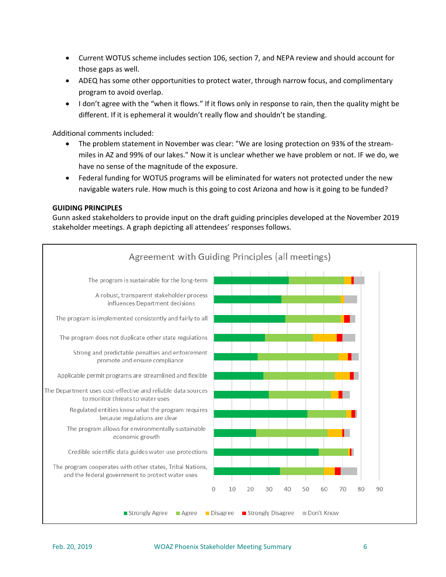- Current WOTUS scheme includes section 106, section 7, and NEPA review and should account for those gaps as well.
- ADEQ has some other opportunities to protect water, through narrow focus, and complimentary program to avoid overlap.
- I don't agree with the "when it flows." If it flows only in response to rain, then the quality might be different. If it is ephemeral it wouldn't really flow and shouldn't be standing.

Additional comments included:

- The problem statement in November was clear: "We are losing protection on 93% of the streammiles in AZ and 99% of our lakes." Now it is unclear whether we have problem or not. IF we do, we have no sense of the magnitude of the exposure.
- Federal funding for WOTUS programs will be eliminated for waters not protected under the new navigable waters rule. How much is this going to cost Arizona and how is it going to be funded?

#### **GUIDING PRINCIPLES**

Gunn asked stakeholders to provide input on the draft guiding principles developed at the November 2019 stakeholder meetings. A graph depicting all attendees' responses follows.

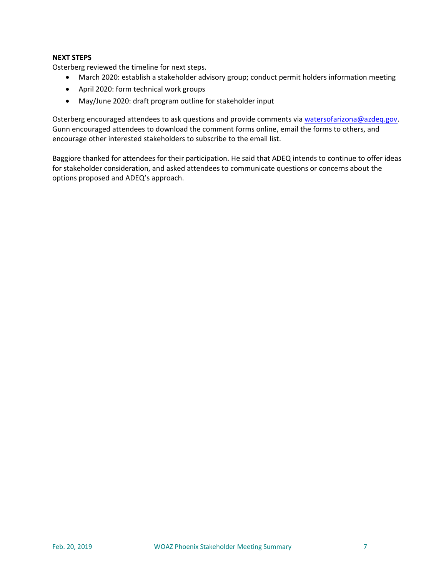# **NEXT STEPS**

Osterberg reviewed the timeline for next steps.

- March 2020: establish a stakeholder advisory group; conduct permit holders information meeting
- April 2020: form technical work groups
- May/June 2020: draft program outline for stakeholder input

Osterberg encouraged attendees to ask questions and provide comments via [watersofarizona@azdeq.gov.](mailto:watersofarizona@azdeq.gov?subject=WOAZ) Gunn encouraged attendees to download the comment forms online, email the forms to others, and encourage other interested stakeholders to subscribe to the email list.

Baggiore thanked for attendees for their participation. He said that ADEQ intends to continue to offer ideas for stakeholder consideration, and asked attendees to communicate questions or concerns about the options proposed and ADEQ's approach.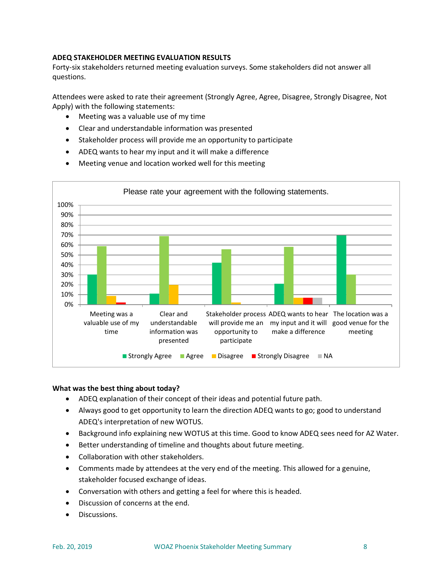# **ADEQ STAKEHOLDER MEETING EVALUATION RESULTS**

Forty-six stakeholders returned meeting evaluation surveys. Some stakeholders did not answer all questions.

Attendees were asked to rate their agreement (Strongly Agree, Agree, Disagree, Strongly Disagree, Not Apply) with the following statements:

- Meeting was a valuable use of my time
- Clear and understandable information was presented
- Stakeholder process will provide me an opportunity to participate
- ADEQ wants to hear my input and it will make a difference



• Meeting venue and location worked well for this meeting

# **What was the best thing about today?**

- ADEQ explanation of their concept of their ideas and potential future path.
- Always good to get opportunity to learn the direction ADEQ wants to go; good to understand ADEQ's interpretation of new WOTUS.
- Background info explaining new WOTUS at this time. Good to know ADEQ sees need for AZ Water.
- Better understanding of timeline and thoughts about future meeting.
- Collaboration with other stakeholders.
- Comments made by attendees at the very end of the meeting. This allowed for a genuine, stakeholder focused exchange of ideas.
- Conversation with others and getting a feel for where this is headed.
- Discussion of concerns at the end.
- Discussions.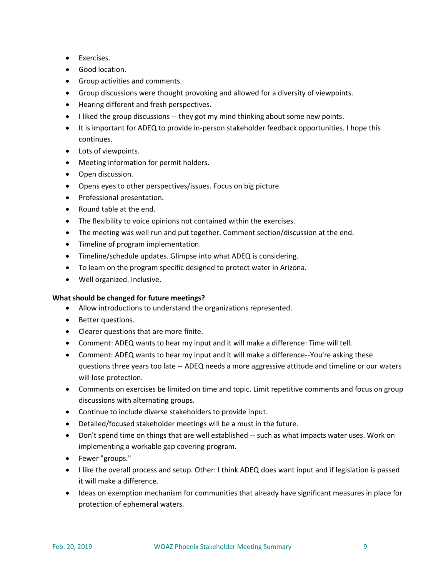- Exercises.
- Good location.
- Group activities and comments.
- Group discussions were thought provoking and allowed for a diversity of viewpoints.
- Hearing different and fresh perspectives.
- I liked the group discussions -- they got my mind thinking about some new points.
- It is important for ADEQ to provide in-person stakeholder feedback opportunities. I hope this continues.
- Lots of viewpoints.
- Meeting information for permit holders.
- Open discussion.
- Opens eyes to other perspectives/issues. Focus on big picture.
- Professional presentation.
- Round table at the end.
- The flexibility to voice opinions not contained within the exercises.
- The meeting was well run and put together. Comment section/discussion at the end.
- Timeline of program implementation.
- Timeline/schedule updates. Glimpse into what ADEQ is considering.
- To learn on the program specific designed to protect water in Arizona.
- Well organized. Inclusive.

# **What should be changed for future meetings?**

- Allow introductions to understand the organizations represented.
- Better questions.
- Clearer questions that are more finite.
- Comment: ADEQ wants to hear my input and it will make a difference: Time will tell.
- Comment: ADEQ wants to hear my input and it will make a difference--You're asking these questions three years too late -- ADEQ needs a more aggressive attitude and timeline or our waters will lose protection.
- Comments on exercises be limited on time and topic. Limit repetitive comments and focus on group discussions with alternating groups.
- Continue to include diverse stakeholders to provide input.
- Detailed/focused stakeholder meetings will be a must in the future.
- Don't spend time on things that are well established -- such as what impacts water uses. Work on implementing a workable gap covering program.
- Fewer "groups."
- I like the overall process and setup. Other: I think ADEQ does want input and if legislation is passed it will make a difference.
- Ideas on exemption mechanism for communities that already have significant measures in place for protection of ephemeral waters.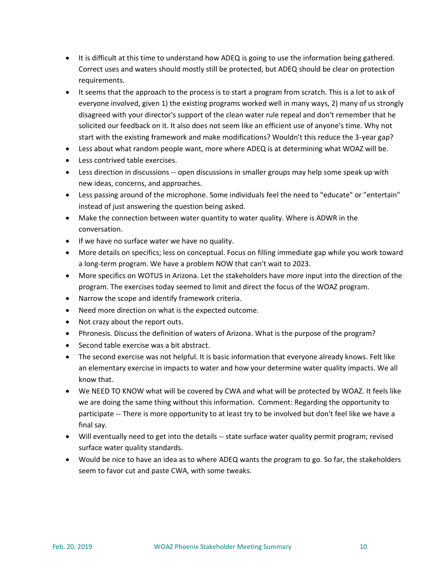- It is difficult at this time to understand how ADEQ is going to use the information being gathered. Correct uses and waters should mostly still be protected, but ADEQ should be clear on protection requirements.
- It seems that the approach to the process is to start a program from scratch. This is a lot to ask of everyone involved, given 1) the existing programs worked well in many ways, 2) many of us strongly disagreed with your director's support of the clean water rule repeal and don't remember that he solicited our feedback on it. It also does not seem like an efficient use of anyone's time. Why not start with the existing framework and make modifications? Wouldn't this reduce the 3-year gap?
- Less about what random people want, more where ADEQ is at determining what WOAZ will be.
- Less contrived table exercises.
- Less direction in discussions -- open discussions in smaller groups may help some speak up with new ideas, concerns, and approaches.
- Less passing around of the microphone. Some individuals feel the need to "educate" or "entertain" instead of just answering the question being asked.
- Make the connection between water quantity to water quality. Where is ADWR in the conversation.
- If we have no surface water we have no quality.
- More details on specifics; less on conceptual. Focus on filling immediate gap while you work toward a long-term program. We have a problem NOW that can't wait to 2023.
- More specifics on WOTUS in Arizona. Let the stakeholders have more input into the direction of the program. The exercises today seemed to limit and direct the focus of the WOAZ program.
- Narrow the scope and identify framework criteria.
- Need more direction on what is the expected outcome.
- Not crazy about the report outs.
- Phronesis. Discuss the definition of waters of Arizona. What is the purpose of the program?
- Second table exercise was a bit abstract.
- The second exercise was not helpful. It is basic information that everyone already knows. Felt like an elementary exercise in impacts to water and how your determine water quality impacts. We all know that.
- We NEED TO KNOW what will be covered by CWA and what will be protected by WOAZ. It feels like we are doing the same thing without this information. Comment: Regarding the opportunity to participate -- There is more opportunity to at least try to be involved but don't feel like we have a final say.
- Will eventually need to get into the details -- state surface water quality permit program; revised surface water quality standards.
- Would be nice to have an idea as to where ADEQ wants the program to go. So far, the stakeholders seem to favor cut and paste CWA, with some tweaks.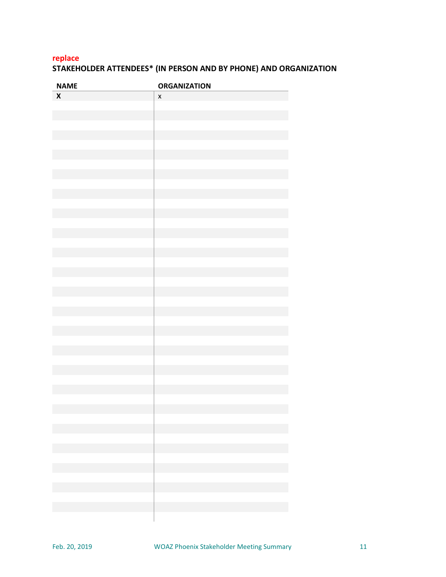# **replace STAKEHOLDER ATTENDEES\* (IN PERSON AND BY PHONE) AND ORGANIZATION**

| <b>NAME</b>  | <b>ORGANIZATION</b>                          |
|--------------|----------------------------------------------|
| $\mathsf{x}$ | $\pmb{\mathsf{x}}$                           |
|              |                                              |
|              |                                              |
|              |                                              |
|              |                                              |
|              |                                              |
|              |                                              |
|              |                                              |
|              |                                              |
|              |                                              |
|              |                                              |
|              |                                              |
|              |                                              |
|              |                                              |
|              |                                              |
|              |                                              |
|              |                                              |
|              |                                              |
|              |                                              |
|              |                                              |
|              |                                              |
|              |                                              |
|              |                                              |
|              |                                              |
|              |                                              |
|              |                                              |
|              |                                              |
|              |                                              |
|              |                                              |
|              |                                              |
|              |                                              |
|              |                                              |
|              | the control of the control of the control of |
|              |                                              |
|              |                                              |
|              |                                              |
|              |                                              |
|              |                                              |
|              |                                              |
|              |                                              |
|              |                                              |
|              |                                              |
|              | <u> 1999 - Johann Barnett, fransk konge</u>  |
|              |                                              |